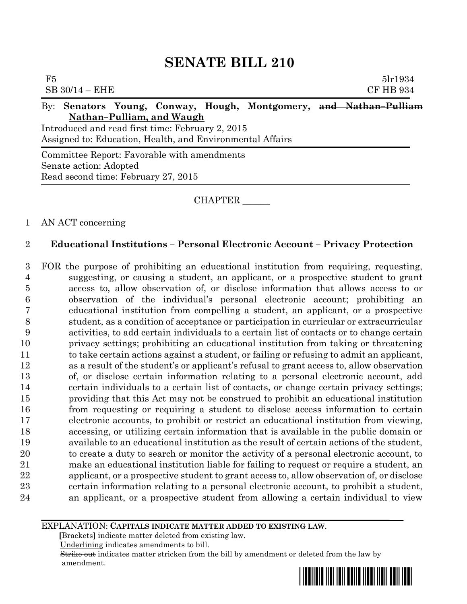# **SENATE BILL 210**

| F5<br>$SB$ 30/14 – EHE                                                                                        | 5 <sub>1</sub> r1934<br><b>CF HB 934</b> |  |  |  |  |  |  |  |
|---------------------------------------------------------------------------------------------------------------|------------------------------------------|--|--|--|--|--|--|--|
| By: Senators Young, Conway, Hough, Montgomery, and Nathan-Pulliam<br>Nathan-Pulliam, and Waugh                |                                          |  |  |  |  |  |  |  |
| Introduced and read first time: February 2, 2015<br>Assigned to: Education, Health, and Environmental Affairs |                                          |  |  |  |  |  |  |  |
| Committee Report: Favorable with amendments<br>Senate action: Adopted                                         |                                          |  |  |  |  |  |  |  |

Read second time: February 27, 2015

CHAPTER \_\_\_\_\_\_

## 1 AN ACT concerning

## 2 **Educational Institutions – Personal Electronic Account – Privacy Protection**

 FOR the purpose of prohibiting an educational institution from requiring, requesting, suggesting, or causing a student, an applicant, or a prospective student to grant access to, allow observation of, or disclose information that allows access to or observation of the individual's personal electronic account; prohibiting an educational institution from compelling a student, an applicant, or a prospective student, as a condition of acceptance or participation in curricular or extracurricular activities, to add certain individuals to a certain list of contacts or to change certain privacy settings; prohibiting an educational institution from taking or threatening to take certain actions against a student, or failing or refusing to admit an applicant, as a result of the student's or applicant's refusal to grant access to, allow observation of, or disclose certain information relating to a personal electronic account, add certain individuals to a certain list of contacts, or change certain privacy settings; providing that this Act may not be construed to prohibit an educational institution from requesting or requiring a student to disclose access information to certain electronic accounts, to prohibit or restrict an educational institution from viewing, accessing, or utilizing certain information that is available in the public domain or available to an educational institution as the result of certain actions of the student, to create a duty to search or monitor the activity of a personal electronic account, to make an educational institution liable for failing to request or require a student, an applicant, or a prospective student to grant access to, allow observation of, or disclose certain information relating to a personal electronic account, to prohibit a student, an applicant, or a prospective student from allowing a certain individual to view

#### EXPLANATION: **CAPITALS INDICATE MATTER ADDED TO EXISTING LAW**.

 **[**Brackets**]** indicate matter deleted from existing law.

Underlining indicates amendments to bill.

 Strike out indicates matter stricken from the bill by amendment or deleted from the law by amendment.

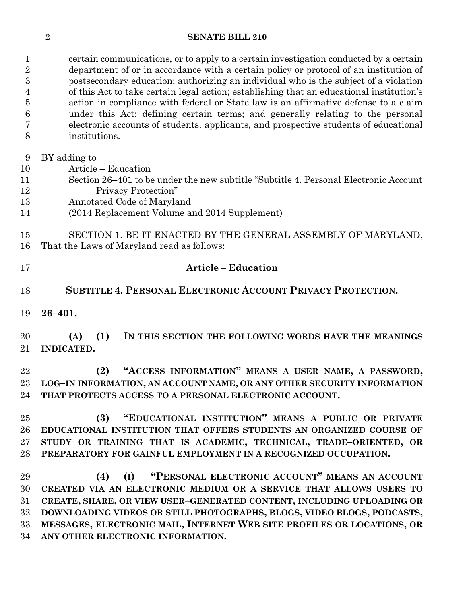### **SENATE BILL 210**

 certain communications, or to apply to a certain investigation conducted by a certain department of or in accordance with a certain policy or protocol of an institution of postsecondary education; authorizing an individual who is the subject of a violation of this Act to take certain legal action; establishing that an educational institution's action in compliance with federal or State law is an affirmative defense to a claim under this Act; defining certain terms; and generally relating to the personal electronic accounts of students, applicants, and prospective students of educational institutions.

- BY adding to
- Article Education
- Section 26–401 to be under the new subtitle "Subtitle 4. Personal Electronic Account Privacy Protection"
- Annotated Code of Maryland
- (2014 Replacement Volume and 2014 Supplement)

 SECTION 1. BE IT ENACTED BY THE GENERAL ASSEMBLY OF MARYLAND, That the Laws of Maryland read as follows:

| -17 | <b>Article – Education</b> |
|-----|----------------------------|
|     |                            |

**SUBTITLE 4. PERSONAL ELECTRONIC ACCOUNT PRIVACY PROTECTION.**

**26–401.**

 **(A) (1) IN THIS SECTION THE FOLLOWING WORDS HAVE THE MEANINGS INDICATED.**

 **(2) "ACCESS INFORMATION" MEANS A USER NAME, A PASSWORD, LOG–IN INFORMATION, AN ACCOUNT NAME, OR ANY OTHER SECURITY INFORMATION THAT PROTECTS ACCESS TO A PERSONAL ELECTRONIC ACCOUNT.**

 **(3) "EDUCATIONAL INSTITUTION" MEANS A PUBLIC OR PRIVATE EDUCATIONAL INSTITUTION THAT OFFERS STUDENTS AN ORGANIZED COURSE OF STUDY OR TRAINING THAT IS ACADEMIC, TECHNICAL, TRADE–ORIENTED, OR PREPARATORY FOR GAINFUL EMPLOYMENT IN A RECOGNIZED OCCUPATION.**

 **(4) (I) "PERSONAL ELECTRONIC ACCOUNT" MEANS AN ACCOUNT CREATED VIA AN ELECTRONIC MEDIUM OR A SERVICE THAT ALLOWS USERS TO CREATE, SHARE, OR VIEW USER–GENERATED CONTENT, INCLUDING UPLOADING OR DOWNLOADING VIDEOS OR STILL PHOTOGRAPHS, BLOGS, VIDEO BLOGS, PODCASTS, MESSAGES, ELECTRONIC MAIL, INTERNET WEB SITE PROFILES OR LOCATIONS, OR ANY OTHER ELECTRONIC INFORMATION.**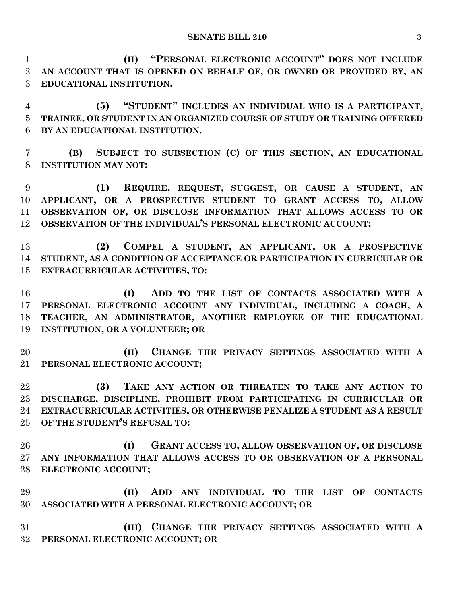**(II) "PERSONAL ELECTRONIC ACCOUNT" DOES NOT INCLUDE AN ACCOUNT THAT IS OPENED ON BEHALF OF, OR OWNED OR PROVIDED BY, AN EDUCATIONAL INSTITUTION.**

 **(5) "STUDENT" INCLUDES AN INDIVIDUAL WHO IS A PARTICIPANT, TRAINEE, OR STUDENT IN AN ORGANIZED COURSE OF STUDY OR TRAINING OFFERED BY AN EDUCATIONAL INSTITUTION.**

 **(B) SUBJECT TO SUBSECTION (C) OF THIS SECTION, AN EDUCATIONAL INSTITUTION MAY NOT:**

 **(1) REQUIRE, REQUEST, SUGGEST, OR CAUSE A STUDENT, AN APPLICANT, OR A PROSPECTIVE STUDENT TO GRANT ACCESS TO, ALLOW OBSERVATION OF, OR DISCLOSE INFORMATION THAT ALLOWS ACCESS TO OR OBSERVATION OF THE INDIVIDUAL'S PERSONAL ELECTRONIC ACCOUNT;**

 **(2) COMPEL A STUDENT, AN APPLICANT, OR A PROSPECTIVE STUDENT, AS A CONDITION OF ACCEPTANCE OR PARTICIPATION IN CURRICULAR OR EXTRACURRICULAR ACTIVITIES, TO:**

 **(I) ADD TO THE LIST OF CONTACTS ASSOCIATED WITH A PERSONAL ELECTRONIC ACCOUNT ANY INDIVIDUAL, INCLUDING A COACH, A TEACHER, AN ADMINISTRATOR, ANOTHER EMPLOYEE OF THE EDUCATIONAL INSTITUTION, OR A VOLUNTEER; OR**

 **(II) CHANGE THE PRIVACY SETTINGS ASSOCIATED WITH A PERSONAL ELECTRONIC ACCOUNT;**

 **(3) TAKE ANY ACTION OR THREATEN TO TAKE ANY ACTION TO DISCHARGE, DISCIPLINE, PROHIBIT FROM PARTICIPATING IN CURRICULAR OR EXTRACURRICULAR ACTIVITIES, OR OTHERWISE PENALIZE A STUDENT AS A RESULT OF THE STUDENT'S REFUSAL TO:**

 **(I) GRANT ACCESS TO, ALLOW OBSERVATION OF, OR DISCLOSE ANY INFORMATION THAT ALLOWS ACCESS TO OR OBSERVATION OF A PERSONAL ELECTRONIC ACCOUNT;**

 **(II) ADD ANY INDIVIDUAL TO THE LIST OF CONTACTS ASSOCIATED WITH A PERSONAL ELECTRONIC ACCOUNT; OR**

 **(III) CHANGE THE PRIVACY SETTINGS ASSOCIATED WITH A PERSONAL ELECTRONIC ACCOUNT; OR**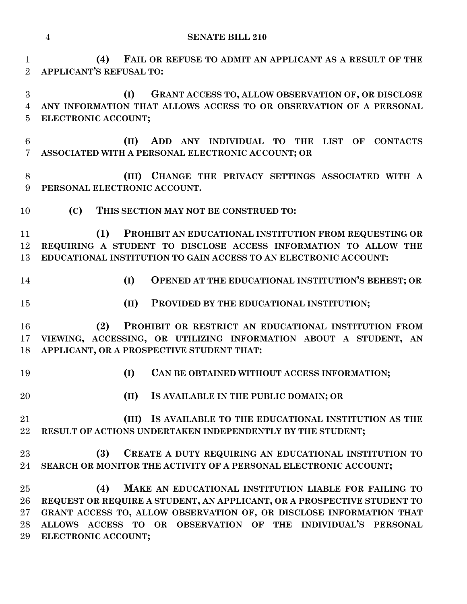**(4) FAIL OR REFUSE TO ADMIT AN APPLICANT AS A RESULT OF THE APPLICANT'S REFUSAL TO:**

 **(I) GRANT ACCESS TO, ALLOW OBSERVATION OF, OR DISCLOSE ANY INFORMATION THAT ALLOWS ACCESS TO OR OBSERVATION OF A PERSONAL ELECTRONIC ACCOUNT;**

 **(II) ADD ANY INDIVIDUAL TO THE LIST OF CONTACTS ASSOCIATED WITH A PERSONAL ELECTRONIC ACCOUNT; OR**

 **(III) CHANGE THE PRIVACY SETTINGS ASSOCIATED WITH A PERSONAL ELECTRONIC ACCOUNT.**

**(C) THIS SECTION MAY NOT BE CONSTRUED TO:**

 **(1) PROHIBIT AN EDUCATIONAL INSTITUTION FROM REQUESTING OR REQUIRING A STUDENT TO DISCLOSE ACCESS INFORMATION TO ALLOW THE EDUCATIONAL INSTITUTION TO GAIN ACCESS TO AN ELECTRONIC ACCOUNT:**

- 
- **(I) OPENED AT THE EDUCATIONAL INSTITUTION'S BEHEST; OR**
- **(II) PROVIDED BY THE EDUCATIONAL INSTITUTION;**

 **(2) PROHIBIT OR RESTRICT AN EDUCATIONAL INSTITUTION FROM VIEWING, ACCESSING, OR UTILIZING INFORMATION ABOUT A STUDENT, AN APPLICANT, OR A PROSPECTIVE STUDENT THAT:**

- **(I) CAN BE OBTAINED WITHOUT ACCESS INFORMATION;**
- **(II) IS AVAILABLE IN THE PUBLIC DOMAIN; OR**
- **(III) IS AVAILABLE TO THE EDUCATIONAL INSTITUTION AS THE RESULT OF ACTIONS UNDERTAKEN INDEPENDENTLY BY THE STUDENT;**

## **(3) CREATE A DUTY REQUIRING AN EDUCATIONAL INSTITUTION TO SEARCH OR MONITOR THE ACTIVITY OF A PERSONAL ELECTRONIC ACCOUNT;**

 **(4) MAKE AN EDUCATIONAL INSTITUTION LIABLE FOR FAILING TO REQUEST OR REQUIRE A STUDENT, AN APPLICANT, OR A PROSPECTIVE STUDENT TO GRANT ACCESS TO, ALLOW OBSERVATION OF, OR DISCLOSE INFORMATION THAT ALLOWS ACCESS TO OR OBSERVATION OF THE INDIVIDUAL'S PERSONAL ELECTRONIC ACCOUNT;**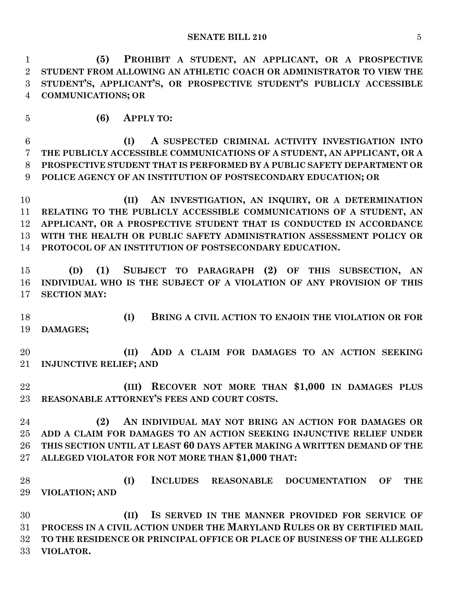**(5) PROHIBIT A STUDENT, AN APPLICANT, OR A PROSPECTIVE STUDENT FROM ALLOWING AN ATHLETIC COACH OR ADMINISTRATOR TO VIEW THE STUDENT'S, APPLICANT'S, OR PROSPECTIVE STUDENT'S PUBLICLY ACCESSIBLE COMMUNICATIONS; OR**

**(6) APPLY TO:**

 **(I) A SUSPECTED CRIMINAL ACTIVITY INVESTIGATION INTO THE PUBLICLY ACCESSIBLE COMMUNICATIONS OF A STUDENT, AN APPLICANT, OR A PROSPECTIVE STUDENT THAT IS PERFORMED BY A PUBLIC SAFETY DEPARTMENT OR POLICE AGENCY OF AN INSTITUTION OF POSTSECONDARY EDUCATION; OR**

 **(II) AN INVESTIGATION, AN INQUIRY, OR A DETERMINATION RELATING TO THE PUBLICLY ACCESSIBLE COMMUNICATIONS OF A STUDENT, AN APPLICANT, OR A PROSPECTIVE STUDENT THAT IS CONDUCTED IN ACCORDANCE WITH THE HEALTH OR PUBLIC SAFETY ADMINISTRATION ASSESSMENT POLICY OR PROTOCOL OF AN INSTITUTION OF POSTSECONDARY EDUCATION.**

 **(D) (1) SUBJECT TO PARAGRAPH (2) OF THIS SUBSECTION, AN INDIVIDUAL WHO IS THE SUBJECT OF A VIOLATION OF ANY PROVISION OF THIS SECTION MAY:**

 **(I) BRING A CIVIL ACTION TO ENJOIN THE VIOLATION OR FOR DAMAGES;**

 **(II) ADD A CLAIM FOR DAMAGES TO AN ACTION SEEKING INJUNCTIVE RELIEF; AND**

 **(III) RECOVER NOT MORE THAN \$1,000 IN DAMAGES PLUS REASONABLE ATTORNEY'S FEES AND COURT COSTS.**

 **(2) AN INDIVIDUAL MAY NOT BRING AN ACTION FOR DAMAGES OR ADD A CLAIM FOR DAMAGES TO AN ACTION SEEKING INJUNCTIVE RELIEF UNDER THIS SECTION UNTIL AT LEAST 60 DAYS AFTER MAKING A WRITTEN DEMAND OF THE ALLEGED VIOLATOR FOR NOT MORE THAN \$1,000 THAT:**

 **(I) INCLUDES REASONABLE DOCUMENTATION OF THE VIOLATION; AND**

 **(II) IS SERVED IN THE MANNER PROVIDED FOR SERVICE OF PROCESS IN A CIVIL ACTION UNDER THE MARYLAND RULES OR BY CERTIFIED MAIL TO THE RESIDENCE OR PRINCIPAL OFFICE OR PLACE OF BUSINESS OF THE ALLEGED VIOLATOR.**